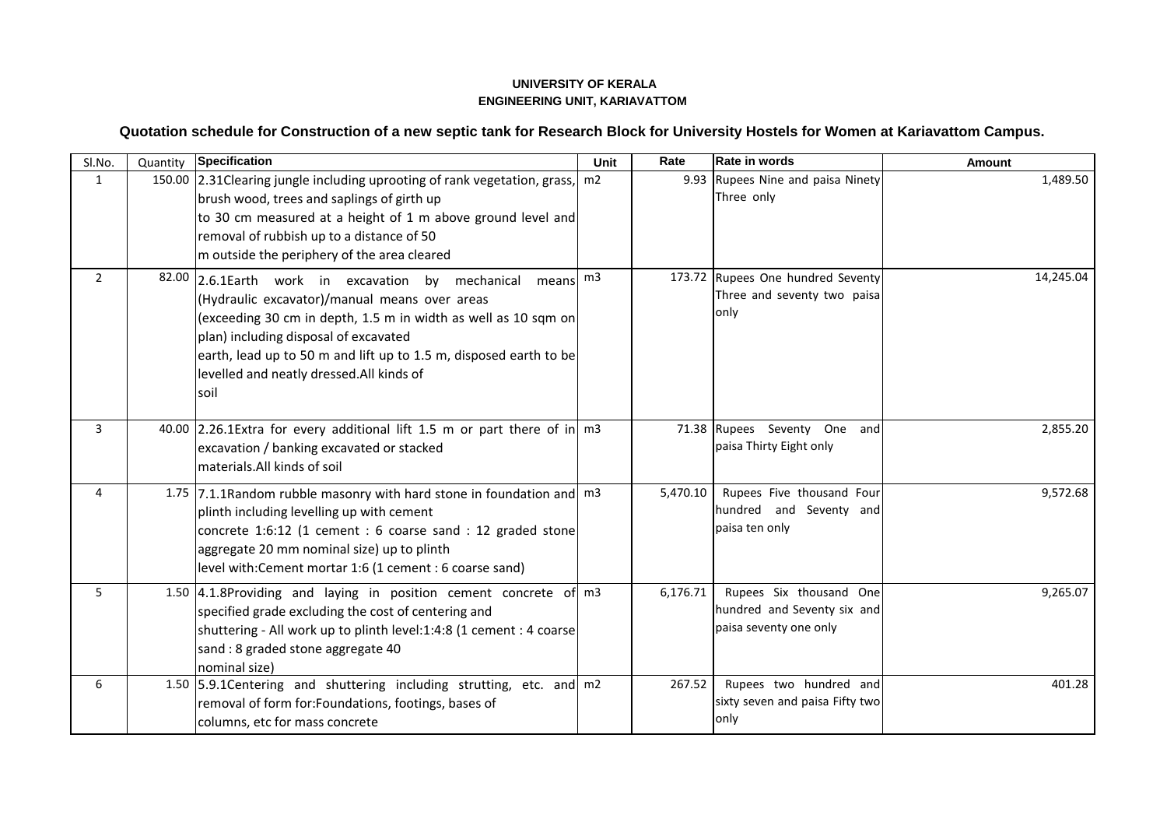## **UNIVERSITY OF KERALA ENGINEERING UNIT, KARIAVATTOM**

## **Quotation schedule for Construction of a new septic tank for Research Block for University Hostels for Women at Kariavattom Campus.**

| Sl.No.         | Quantity | <b>Specification</b>                                                                                                                                                                                                                                                                                                                            | Unit           | Rate     | Rate in words                                                                    | <b>Amount</b> |
|----------------|----------|-------------------------------------------------------------------------------------------------------------------------------------------------------------------------------------------------------------------------------------------------------------------------------------------------------------------------------------------------|----------------|----------|----------------------------------------------------------------------------------|---------------|
| 1              |          | 150.00 2.31 Clearing jungle including uprooting of rank vegetation, grass,<br>brush wood, trees and saplings of girth up<br>to 30 cm measured at a height of 1 m above ground level and<br>removal of rubbish up to a distance of 50<br>m outside the periphery of the area cleared                                                             | m2             |          | 9.93 Rupees Nine and paisa Ninety<br>Three only                                  | 1,489.50      |
| $\overline{2}$ |          | 82.00 2.6.1Earth work in excavation by mechanical<br>means<br>(Hydraulic excavator)/manual means over areas<br>(exceeding 30 cm in depth, 1.5 m in width as well as 10 sqm on<br>plan) including disposal of excavated<br>earth, lead up to 50 m and lift up to 1.5 m, disposed earth to be<br>levelled and neatly dressed.All kinds of<br>soil | m <sub>3</sub> |          | 173.72 Rupees One hundred Seventy<br>Three and seventy two paisa<br>only         | 14,245.04     |
| 3              |          | 40.00 2.26.1Extra for every additional lift 1.5 m or part there of in $m^3$<br>excavation / banking excavated or stacked<br>materials.All kinds of soil                                                                                                                                                                                         |                |          | 71.38 Rupees Seventy One and<br>paisa Thirty Eight only                          | 2,855.20      |
| 4              |          | 1.75 7.1.1 Random rubble masonry with hard stone in foundation and m3<br>plinth including levelling up with cement<br>concrete 1:6:12 (1 cement : 6 coarse sand : 12 graded stone<br>aggregate 20 mm nominal size) up to plinth<br>level with: Cement mortar 1:6 (1 cement : 6 coarse sand)                                                     |                | 5,470.10 | Rupees Five thousand Four<br>hundred and Seventy and<br>paisa ten only           | 9,572.68      |
| 5              |          | 1.50 4.1.8Providing and laying in position cement concrete of m3<br>specified grade excluding the cost of centering and<br>shuttering - All work up to plinth level:1:4:8 (1 cement : 4 coarse<br>sand: 8 graded stone aggregate 40<br>nominal size)                                                                                            |                | 6,176.71 | Rupees Six thousand One<br>hundred and Seventy six and<br>paisa seventy one only | 9,265.07      |
| 6              |          | 1.50 5.9.1 Centering and shuttering including strutting, etc. and m2<br>removal of form for: Foundations, footings, bases of<br>columns, etc for mass concrete                                                                                                                                                                                  |                | 267.52   | Rupees two hundred and<br>sixty seven and paisa Fifty two<br>only                | 401.28        |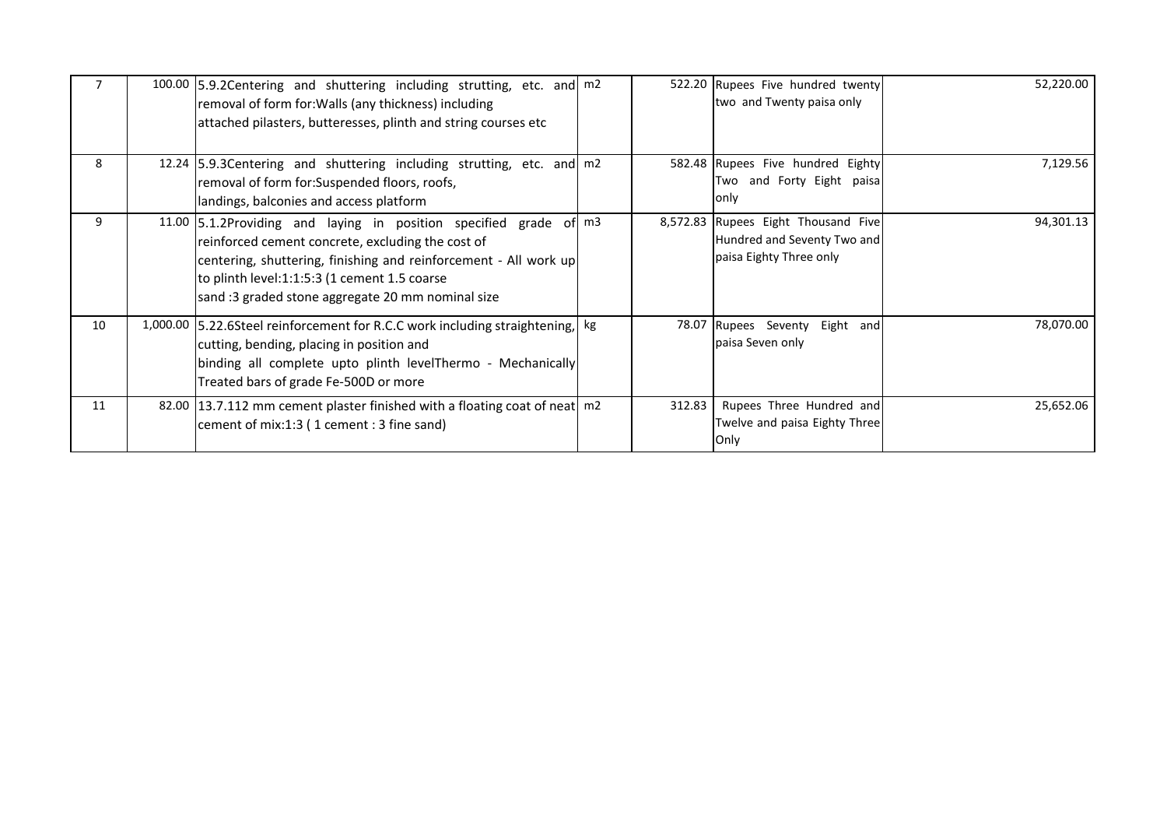|    | 100.00 5.9.2 Centering and shuttering including strutting, etc. and m2<br>removal of form for: Walls (any thickness) including<br>attached pilasters, butteresses, plinth and string courses etc                                                                                                |        | 522.20 Rupees Five hundred twenty<br>two and Twenty paisa only                                | 52,220.00 |
|----|-------------------------------------------------------------------------------------------------------------------------------------------------------------------------------------------------------------------------------------------------------------------------------------------------|--------|-----------------------------------------------------------------------------------------------|-----------|
| 8  | 12.24 5.9.3 Centering and shuttering including strutting, etc. and m2<br>removal of form for: Suspended floors, roofs,<br>landings, balconies and access platform                                                                                                                               |        | 582.48 Rupees Five hundred Eighty<br>Two and Forty Eight paisa<br>only                        | 7,129.56  |
| 9  | 11.00 5.1.2Providing and laying in position specified grade of m3<br>reinforced cement concrete, excluding the cost of<br>centering, shuttering, finishing and reinforcement - All work up<br>to plinth level:1:1:5:3 (1 cement 1.5 coarse<br>sand :3 graded stone aggregate 20 mm nominal size |        | 8,572.83 Rupees Eight Thousand Five<br>Hundred and Seventy Two and<br>paisa Eighty Three only | 94,301.13 |
| 10 | 1,000.00 5.22.6Steel reinforcement for R.C.C work including straightening,  kg<br>cutting, bending, placing in position and<br>binding all complete upto plinth levelThermo - Mechanically<br>Treated bars of grade Fe-500D or more                                                             |        | 78.07 Rupees Seventy<br>Eight and<br>paisa Seven only                                         | 78,070.00 |
| 11 | 82.00 13.7.112 mm cement plaster finished with a floating coat of neat   m2<br>cement of mix:1:3 (1 cement : 3 fine sand)                                                                                                                                                                       | 312.83 | Rupees Three Hundred and<br>Twelve and paisa Eighty Three<br><b>Only</b>                      | 25,652.06 |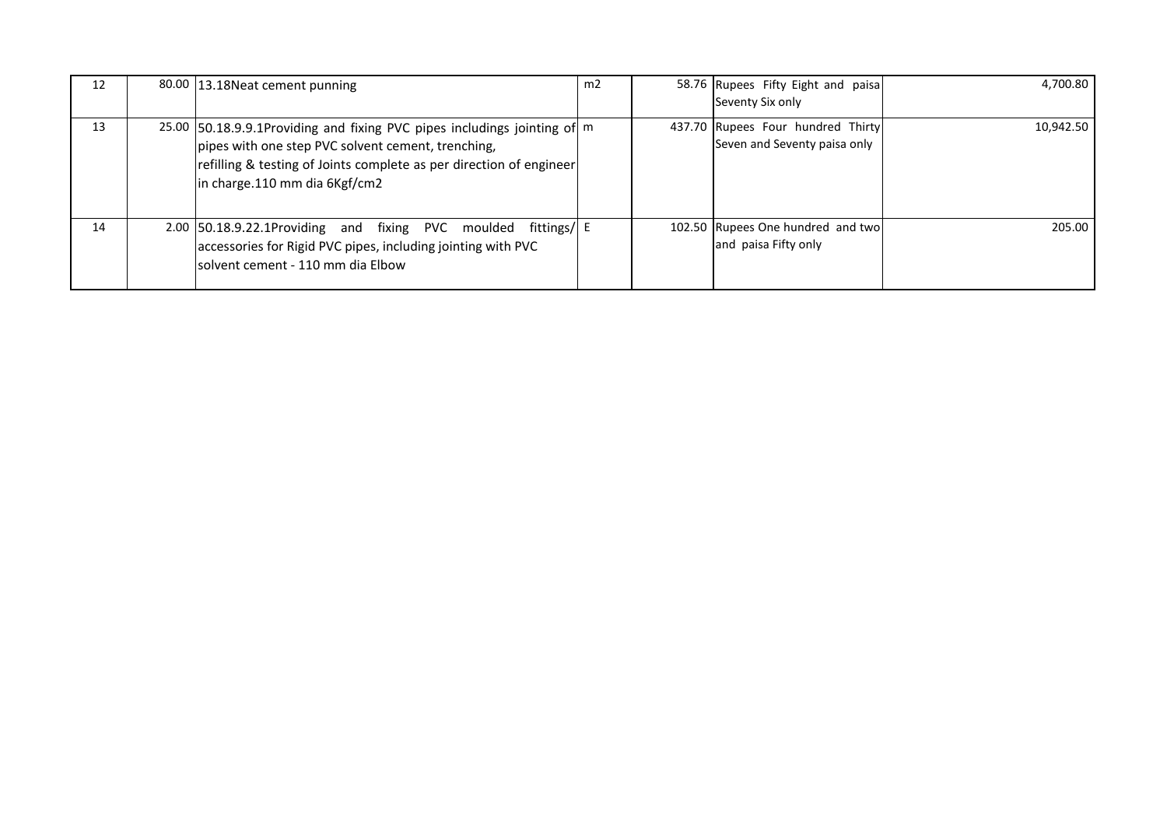| 12 | 80.00 13.18 Neat cement punning                                                                                                                                                                                                         | m2 | 58.76 Rupees Fifty Eight and paisa<br>Seventy Six only            | 4,700.80  |
|----|-----------------------------------------------------------------------------------------------------------------------------------------------------------------------------------------------------------------------------------------|----|-------------------------------------------------------------------|-----------|
| 13 | 25.00 50.18.9.9.1 Providing and fixing PVC pipes includings jointing of m<br>pipes with one step PVC solvent cement, trenching,<br>refilling & testing of Joints complete as per direction of engineer<br>in charge.110 mm dia 6Kgf/cm2 |    | 437.70 Rupees Four hundred Thirty<br>Seven and Seventy paisa only | 10,942.50 |
| 14 | 2.00 50.18.9.22.1Providing and fixing PVC moulded fittings/ E<br>accessories for Rigid PVC pipes, including jointing with PVC<br>Isolvent cement - 110 mm dia Elbow                                                                     |    | 102.50 Rupees One hundred and two<br>and paisa Fifty only         | 205.00    |